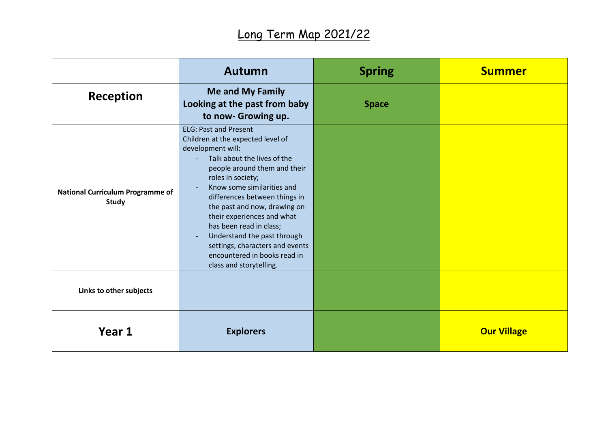|                                                         | Autumn                                                                                                                                                                                                                                                                                                                                                                                                                                                          | <b>Spring</b> | <b>Summer</b>      |
|---------------------------------------------------------|-----------------------------------------------------------------------------------------------------------------------------------------------------------------------------------------------------------------------------------------------------------------------------------------------------------------------------------------------------------------------------------------------------------------------------------------------------------------|---------------|--------------------|
| Reception                                               | <b>Me and My Family</b><br>Looking at the past from baby<br>to now- Growing up.                                                                                                                                                                                                                                                                                                                                                                                 | <b>Space</b>  |                    |
| <b>National Curriculum Programme of</b><br><b>Study</b> | <b>ELG: Past and Present</b><br>Children at the expected level of<br>development will:<br>Talk about the lives of the<br>people around them and their<br>roles in society;<br>Know some similarities and<br>differences between things in<br>the past and now, drawing on<br>their experiences and what<br>has been read in class;<br>Understand the past through<br>settings, characters and events<br>encountered in books read in<br>class and storytelling. |               |                    |
| Links to other subjects                                 |                                                                                                                                                                                                                                                                                                                                                                                                                                                                 |               |                    |
| Year 1                                                  | <b>Explorers</b>                                                                                                                                                                                                                                                                                                                                                                                                                                                |               | <b>Our Village</b> |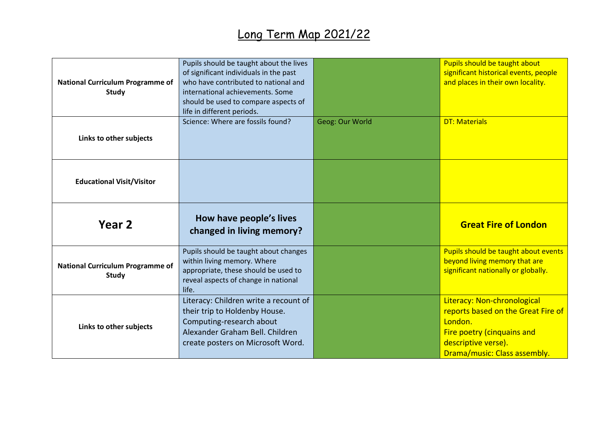| <b>National Curriculum Programme of</b><br><b>Study</b> | Pupils should be taught about the lives<br>of significant individuals in the past<br>who have contributed to national and<br>international achievements. Some<br>should be used to compare aspects of<br>life in different periods. |                 | Pupils should be taught about<br>significant historical events, people<br>and places in their own locality.  |
|---------------------------------------------------------|-------------------------------------------------------------------------------------------------------------------------------------------------------------------------------------------------------------------------------------|-----------------|--------------------------------------------------------------------------------------------------------------|
| Links to other subjects                                 | Science: Where are fossils found?                                                                                                                                                                                                   | Geog: Our World | <b>DT: Materials</b>                                                                                         |
| <b>Educational Visit/Visitor</b>                        |                                                                                                                                                                                                                                     |                 |                                                                                                              |
| Year 2                                                  | How have people's lives<br>changed in living memory?                                                                                                                                                                                |                 | <b>Great Fire of London</b>                                                                                  |
| <b>National Curriculum Programme of</b><br><b>Study</b> | Pupils should be taught about changes<br>within living memory. Where<br>appropriate, these should be used to<br>reveal aspects of change in national                                                                                |                 | Pupils should be taught about events<br>beyond living memory that are<br>significant nationally or globally. |
|                                                         | life.                                                                                                                                                                                                                               |                 |                                                                                                              |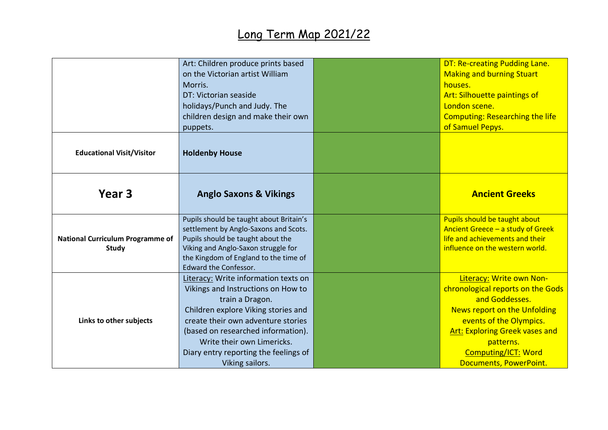|                                                         | Art: Children produce prints based<br>on the Victorian artist William<br>Morris.<br>DT: Victorian seaside<br>holidays/Punch and Judy. The<br>children design and make their own<br>puppets.                                                                                                                | <b>DT: Re-creating Pudding Lane.</b><br><b>Making and burning Stuart</b><br>houses.<br>Art: Silhouette paintings of<br>London scene.<br><b>Computing: Researching the life</b><br>of Samuel Pepys.                                                       |
|---------------------------------------------------------|------------------------------------------------------------------------------------------------------------------------------------------------------------------------------------------------------------------------------------------------------------------------------------------------------------|----------------------------------------------------------------------------------------------------------------------------------------------------------------------------------------------------------------------------------------------------------|
| <b>Educational Visit/Visitor</b>                        | <b>Holdenby House</b>                                                                                                                                                                                                                                                                                      |                                                                                                                                                                                                                                                          |
| Year 3                                                  | <b>Anglo Saxons &amp; Vikings</b>                                                                                                                                                                                                                                                                          | <b>Ancient Greeks</b>                                                                                                                                                                                                                                    |
| <b>National Curriculum Programme of</b><br><b>Study</b> | Pupils should be taught about Britain's<br>settlement by Anglo-Saxons and Scots.<br>Pupils should be taught about the<br>Viking and Anglo-Saxon struggle for<br>the Kingdom of England to the time of<br><b>Edward the Confessor.</b>                                                                      | Pupils should be taught about<br>Ancient Greece - a study of Greek<br>life and achievements and their<br>influence on the western world.                                                                                                                 |
| Links to other subjects                                 | Literacy: Write information texts on<br>Vikings and Instructions on How to<br>train a Dragon.<br>Children explore Viking stories and<br>create their own adventure stories<br>(based on researched information).<br>Write their own Limericks.<br>Diary entry reporting the feelings of<br>Viking sailors. | Literacy: Write own Non-<br>chronological reports on the Gods<br>and Goddesses.<br>News report on the Unfolding<br>events of the Olympics.<br><b>Art: Exploring Greek vases and</b><br>patterns.<br><b>Computing/ICT: Word</b><br>Documents, PowerPoint. |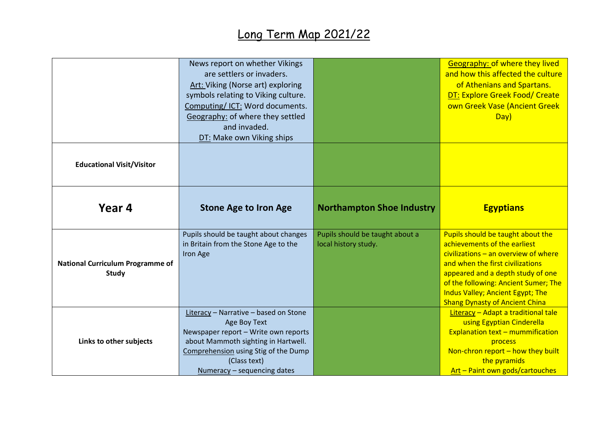|                                                         | News report on whether Vikings<br>are settlers or invaders.<br>Art: Viking (Norse art) exploring<br>symbols relating to Viking culture.<br>Computing/ICT: Word documents.<br>Geography: of where they settled<br>and invaded.        |                                                         | <b>Geography: of where they lived</b><br>and how this affected the culture<br>of Athenians and Spartans.<br><b>DT: Explore Greek Food/ Create</b><br>own Greek Vase (Ancient Greek<br>Day)                                                                                                                       |
|---------------------------------------------------------|--------------------------------------------------------------------------------------------------------------------------------------------------------------------------------------------------------------------------------------|---------------------------------------------------------|------------------------------------------------------------------------------------------------------------------------------------------------------------------------------------------------------------------------------------------------------------------------------------------------------------------|
| <b>Educational Visit/Visitor</b>                        | DT: Make own Viking ships                                                                                                                                                                                                            |                                                         |                                                                                                                                                                                                                                                                                                                  |
| Year 4                                                  | <b>Stone Age to Iron Age</b>                                                                                                                                                                                                         | <b>Northampton Shoe Industry</b>                        | <b>Egyptians</b>                                                                                                                                                                                                                                                                                                 |
| <b>National Curriculum Programme of</b><br><b>Study</b> | Pupils should be taught about changes<br>in Britain from the Stone Age to the<br>Iron Age                                                                                                                                            | Pupils should be taught about a<br>local history study. | Pupils should be taught about the<br>achievements of the earliest<br>civilizations $-$ an overview of where<br>and when the first civilizations<br>appeared and a depth study of one<br>of the following: Ancient Sumer; The<br><b>Indus Valley; Ancient Egypt; The</b><br><b>Shang Dynasty of Ancient China</b> |
| Links to other subjects                                 | <b>Literacy</b> - Narrative - based on Stone<br>Age Boy Text<br>Newspaper report - Write own reports<br>about Mammoth sighting in Hartwell.<br>Comprehension using Stig of the Dump<br>(Class text)<br>$Numeracy - sequencing dates$ |                                                         | Literacy - Adapt a traditional tale<br>using Egyptian Cinderella<br><b>Explanation text - mummification</b><br>process<br>Non-chron report $-$ how they built<br>the pyramids<br>Art - Paint own gods/cartouches                                                                                                 |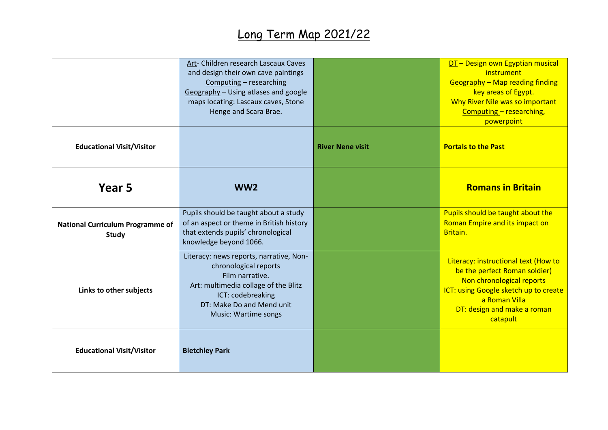|                                                         | Art- Children research Lascaux Caves<br>and design their own cave paintings<br>Computing - researching<br>Geography - Using atlases and google<br>maps locating: Lascaux caves, Stone<br>Henge and Scara Brae. |                         | DT - Design own Egyptian musical<br>instrument<br><b>Geography - Map reading finding</b><br>key areas of Egypt.<br>Why River Nile was so important<br>Computing - researching,<br>powerpoint            |
|---------------------------------------------------------|----------------------------------------------------------------------------------------------------------------------------------------------------------------------------------------------------------------|-------------------------|---------------------------------------------------------------------------------------------------------------------------------------------------------------------------------------------------------|
| <b>Educational Visit/Visitor</b>                        |                                                                                                                                                                                                                | <b>River Nene visit</b> | <b>Portals to the Past</b>                                                                                                                                                                              |
| Year 5                                                  | WW <sub>2</sub>                                                                                                                                                                                                |                         | <b>Romans in Britain</b>                                                                                                                                                                                |
| <b>National Curriculum Programme of</b><br><b>Study</b> | Pupils should be taught about a study<br>of an aspect or theme in British history<br>that extends pupils' chronological<br>knowledge beyond 1066.                                                              |                         | Pupils should be taught about the<br>Roman Empire and its impact on<br>Britain.                                                                                                                         |
| Links to other subjects                                 | Literacy: news reports, narrative, Non-<br>chronological reports<br>Film narrative.<br>Art: multimedia collage of the Blitz<br>ICT: codebreaking<br>DT: Make Do and Mend unit<br>Music: Wartime songs          |                         | Literacy: instructional text (How to<br>be the perfect Roman soldier)<br>Non chronological reports<br>ICT: using Google sketch up to create<br>a Roman Villa<br>DT: design and make a roman<br>catapult |
| <b>Educational Visit/Visitor</b>                        | <b>Bletchley Park</b>                                                                                                                                                                                          |                         |                                                                                                                                                                                                         |